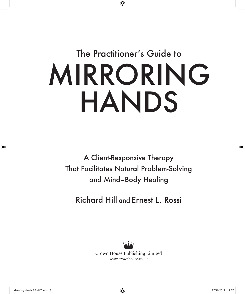# The Practitioner's Guide to MIRRORING HANDS

A Client-Responsive Therapy That Facilitates Natural Problem-Solving and Mind–Body Healing

Richard Hill and Ernest L. Rossi

Crown House Publishing Limited www.crownhouse.co.uk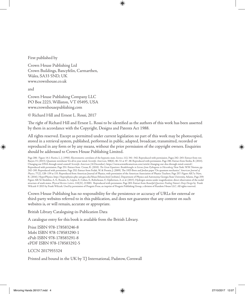First published by

Crown House Publishing Ltd Crown Buildings, Bancyfelin, Carmarthen, Wales, SA33 5ND, UK www.crownhouse.co.uk

and

Crown House Publishing Company LLC PO Box 2223, Williston, VT 05495, USA www.crownhousepublishing.com

© Richard Hill and Ernest L. Rossi, 2017

The right of Richard Hill and Ernest L. Rossi to be identified as the authors of this work has been asserted by them in accordance with the Copyright, Designs and Patents Act 1988.

All rights reserved. Except as permitted under current legislation no part of this work may be photocopied, stored in a retrieval system, published, performed in public, adapted, broadcast, transmitted, recorded or reproduced in any form or by any means, without the prior permission of the copyright owners. Enquiries should be addressed to Crown House Publishing Limited.

Page 206: Figure 14.1: Ravitz, L. J. (1950). Electrometric correlates of the hypnotic state. *Science*, 112, 341–342. Reproduced with permission. Pages 242–243: Extract from von Baeyer, H. (2013). Quantum weirdness? It's all in your mind. *Scientific American*, 308(6), 46–51 at 47–48. Reproduced with permission. Page 246: Extract from Stetka, B. (2014). Changing our DNA through mind control? *Scientific American* (16 December). https://www.scientificamerican.com/article/changing-our-dna-through-mind-control/. Reproduced with permission. Page 251: Extract from Crease, R. (2010). *The Great Equations: Breakthroughs in Science from Pythagoras to Heisenberg.* New York: W.W. Norton, pp. 242–245. Reproduced with permission. Page 252: Extract from Fedak, W. & Prentis, J. (2009). The 1925 Born and Jordan paper "On quantum mechanics." *American Journal of Physics*, 77(2), 128–139 at 133. Reproduced from American Journal of Physics, with permission of the American Association of Physics Teachers. Page 257: Figure AB.7a: Nave, R. (2016). HyperPhysics. http://hyperphysics.phy-astr.gsu.edu/hbase/hframe.html [website]. Department of Physics and Astronomy, Georgia State University, Atlanta. Page 259: Figure AB.7d: Stodolna, A. S., Rouzée, A., Lépine, F., Cohen, S., Robicheaux, F., Gijsbertsen, A. et al. (2013). Hydrogen atoms under magnification: direct observation of the nodal structure of stark states. *Physical Review Letters*, 110(21), 213001. Reproduced with permission. Page 265: Extract from *Beautiful Question: Finding Nature's Deep Design* by Frank Wilczek © 2015 by Frank Wilczek. Used by permission of Penguin Press, an imprint of Penguin Publishing Group, a division of Random House LLC. All rights reserved.

Crown House Publishing has no responsibility for the persistence or accuracy of URLs for external or third-party websites referred to in this publication, and does not guarantee that any content on such websites is, or will remain, accurate or appropriate.

British Library Cataloguing-in-Publication Data

A catalogue entry for this book is available from the British Library.

Print ISBN 978-178583246-8 Mobi ISBN 978-178583290-1 ePub ISBN 978-178583291-8 ePDF ISBN 978-178583292-5

LCCN 2017955324

Printed and bound in the UK by TJ International, Padstow, Cornwall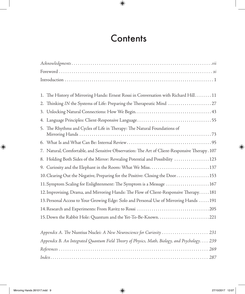## **Contents**

|  | 1. The History of Mirroring Hands: Ernest Rossi in Conversation with Richard Hill 11          |
|--|-----------------------------------------------------------------------------------------------|
|  | 2. Thinking IN the Systems of Life: Preparing the Therapeutic Mind 27                         |
|  |                                                                                               |
|  |                                                                                               |
|  | 5. The Rhythms and Cycles of Life in Therapy: The Natural Foundations of                      |
|  |                                                                                               |
|  | 7. Natural, Comfortable, and Sensitive Observation: The Art of Client-Responsive Therapy. 107 |
|  | 8. Holding Both Sides of the Mirror: Revealing Potential and Possibility 123                  |
|  | 9. Curiosity and the Elephant in the Room: What We Miss137                                    |
|  | 10. Clearing Out the Negative, Preparing for the Positive: Closing the Door153                |
|  | 11. Symptom Scaling for Enlightenment: The Symptom is a Message 167                           |
|  | 12. Improvising, Drama, and Mirroring Hands: The Flow of Client-Responsive Therapy181         |
|  | 13. Personal Access to Your Growing Edge: Solo and Personal Use of Mirroring Hands  191       |
|  |                                                                                               |
|  |                                                                                               |
|  | Appendix A. The Nuntius Nuclei: A New Neuroscience for Curiosity  231                         |
|  | Appendix B. An Integrated Quantum Field Theory of Physics, Math, Biology, and Psychology 239  |
|  |                                                                                               |
|  |                                                                                               |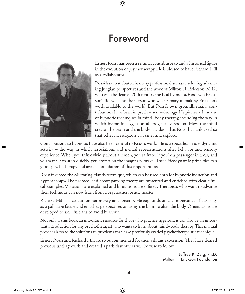# Foreword



Ernest Rossi has been a seminal contributor to and a historical figure in the evolution of psychotherapy. He is blessed to have Richard Hill as a collaborator.

Rossi has contributed in many professional arenas, including advancing Jungian perspectives and the work of Milton H. Erickson, M.D., who was the dean of 20th century medical hypnosis. Rossi was Erickson's Boswell and the person who was primary in making Erickson's work available to the world. But Rossi's own groundbreaking contributions have been in psycho-neuro-biology. He pioneered the use of hypnotic techniques in mind–body therapy, including the way in which hypnotic suggestion alters gene expression. How the mind creates the brain and the body is a door that Rossi has unlocked so that other investigators can enter and explore.

Contributions to hypnosis have also been central to Rossi's work. He is a specialist in ideodynamic activity – the way in which associations and mental representations alter behavior and sensory experience. When you think vividly about a lemon, you salivate. If you're a passenger in a car, and you want it to stop quickly, you stomp on the imaginary brake. These ideodynamic principles can guide psychotherapy and are the foundation of this important book.

Rossi invented the Mirroring Hands technique, which can be used both for hypnotic induction and hypnotherapy. The protocol and accompanying theory are presented and enriched with clear clinical examples. Variations are explained and limitations are offered. Therapists who want to advance their technique can now learn from a psychotherapeutic master.

Richard Hill is a co-author, not merely an expositor. He expounds on the importance of curiosity as a palliative factor and enriches perspectives on using the brain to alter the body. Orientations are developed to aid clinicians to avoid burnout.

Not only is this book an important resource for those who practice hypnosis, it can also be an important introduction for any psychotherapist who wants to learn about mind–body therapy. This manual provides keys to the solutions to problems that have previously evaded psychotherapeutic technique.

Ernest Rossi and Richard Hill are to be commended for their vibrant exposition. They have cleared previous undergrowth and created a path that others will be wise to follow.

> Jeffrey K. Zeig, Ph.D. Milton H. Erickson Foundation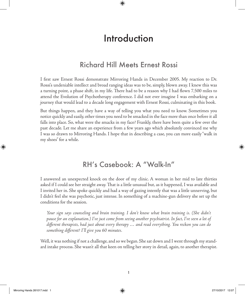# Introduction

#### Richard Hill Meets Ernest Rossi

I first saw Ernest Rossi demonstrate Mirroring Hands in December 2005. My reaction to Dr. Rossi's undeniable intellect and broad ranging ideas was to be, simply, blown away. I knew this was a turning point, a phase shift, in my life. There had to be a reason why I had flown 7,500 miles to attend the Evolution of Psychotherapy conference. I did not ever imagine I was embarking on a journey that would lead to a decade long engagement with Ernest Rossi, culminating in this book.

But things happen, and they have a way of telling you what you need to know. Sometimes you notice quickly and easily, other times you need to be smacked in the face more than once before it all falls into place. So, what were the smacks in my face? Frankly, there have been quite a few over the past decade. Let me share an experience from a few years ago which absolutely convinced me why I was so drawn to Mirroring Hands. I hope that in describing a case, you can more easily "walk in my shoes" for a while.

#### RH's Casebook: A "Walk-In"

I answered an unexpected knock on the door of my clinic. A woman in her mid to late thirties asked if I could see her straight away. That is a little unusual but, as it happened, I was available and I invited her in. She spoke quickly and had a way of gazing intently that was a little unnerving, but I didn't feel she was psychotic, just intense. In something of a machine-gun delivery she set up the conditions for the session.

*Your sign says counseling and brain training. I don't know what brain training is. (She didn't pause for an explanation.) I've just come from seeing another psychiatrist. In fact, I've seen a lot of different therapists, had just about every therapy … and read everything. You reckon you can do something different? I'll give you 60 minutes.*

Well, it was nothing if not a challenge, and so we began. She sat down and I went through my standard intake process. She wasn't all that keen on telling her story in detail, again, to another therapist.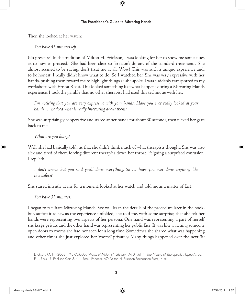Then she looked at her watch:

*You have 45 minutes left.*

No pressure! In the tradition of Milton H. Erickson, I was looking for her to show me some clues as to how to proceed.<sup>1</sup> She had been clear so far: don't do any of the standard treatments. She almost seemed to be saying, don't treat me at all. Wow! This was such a unique experience and, to be honest, I really didn't know what to do. So I watched her. She was very expressive with her hands, pushing them toward me to highlight things as she spoke. I was suddenly transported to my workshops with Ernest Rossi. This looked something like what happens during a Mirroring Hands experience. I took the gamble that no other therapist had used this technique with her.

*I'm noticing that you are very expressive with your hands. Have you ever really looked at your hands … noticed what is really interesting about them?*

She was surprisingly cooperative and stared at her hands for about 30 seconds, then flicked her gaze back to me.

*What are you doing?* 

Well, she had basically told me that she didn't think much of what therapists thought. She was also sick and tired of them forcing different therapies down her throat. Feigning a surprised confusion, I replied:

*I don't know, but you said you'd done everything. So … have you ever done anything like this before?* 

She stared intently at me for a moment, looked at her watch and told me as a matter of fact:

*You have 35 minutes.*

I began to facilitate Mirroring Hands. We will learn the details of the procedure later in the book, but, suffice it to say, as the experience unfolded, she told me, with some surprise, that she felt her hands were representing two aspects of her persona. One hand was representing a part of herself she keeps private and the other hand was representing her public face. It was like watching someone open doors to rooms she had not seen for a long time. Sometimes she shared what was happening and other times she just explored her "rooms" privately. Many things happened over the next 30

<sup>1</sup> Erickson, M. H. (2008). *The Collected Works of Milton H. Erickson, M.D.* Vol. 1: *The Nature of Therapeutic Hypnosis*, ed. E. L. Rossi, R. Erickson-Klein & K. L. Rossi. Phoenix, AZ: Milton H. Erickson Foundation Press, p. xii.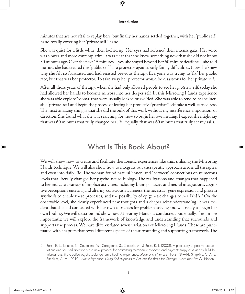minutes that are not vital to replay here, but finally her hands settled together, with her "public self " hand totally covering her "private self" hand.

She was quiet for a little while, then looked up. Her eyes had softened their intense gaze. Her voice was slower and more contemplative. It was clear that she knew something now that she did not know 30 minutes ago. Over the next 15 minutes – yes, she stayed beyond her 60 minute deadline – she told me how she had created this "public self " as a protector against early family difficulties. Now she knew why she felt so frustrated and had resisted previous therapy. Everyone was trying to "fix" her public face, but that was her protector. To take away her protector would be disastrous for her private self.

After all those years of therapy, when she had only allowed people to see her *protector self*, today she had allowed her hands to become mirrors into her deeper self. In this Mirroring Hands experience she was able explore "rooms" that were usually locked or avoided. She was able to tend to her vulnerable "private" self and begin the process of letting her protective "guardian" self take a well-earned rest. The most amazing thing is that she did the bulk of this work without my interference, imposition, or direction. She found what she was searching for: how to begin her own healing. I expect she might say that was 60 minutes that truly changed her life. Equally, that was 60 minutes that truly set my sails.

#### What Is This Book About?

We will show how to create and facilitate therapeutic experiences like this, utilizing the Mirroring Hands technique. We will also show how to integrate our therapeutic approach across all therapies, and even into daily life. The woman found natural "inner" and "between" connections on numerous levels that literally changed her psycho-neuro-biology. The realizations and changes that happened to her indicate a variety of implicit activities, including brain plasticity and neural integrations, cognitive perceptions entering and altering conscious awareness, the necessary gene expression and protein synthesis to enable these processes, and the possibility of epigenetic changes to her DNA.<sup>2</sup> On the observable level, she clearly experienced new thoughts and a deeper self-understanding. It was evident that she had connected with her own capacities for problem-solving and was ready to begin her own healing. We will describe and show how Mirroring Hands is conducted, but equally, if not more importantly, we will explore the framework of knowledge and understanding that surrounds and supports the process. We have differentiated seven variations of Mirroring Hands. These are punctuated with chapters that reveal different aspects of the surrounding and supporting framework. The

<sup>2</sup> Rossi, E. L., Iannotti, S., Cozzolino, M., Castiglione, S., Cicatelli, A., & Rossi, K. L. (2008). A pilot study of positive expectations and focused attention via a new protocol for optimizing therapeutic hypnosis and psychotherapy assessed with DNA microarrays: the creative psychosocial genomic healing experience. *Sleep and Hypnosis,* 10(2), 39–44; Simpkins, C. A. & Simpkins, A. M. (2010). *Neuro-Hypnosis: Using Self-Hypnosis to Activate the Brain for Change.* New York: W.W. Norton.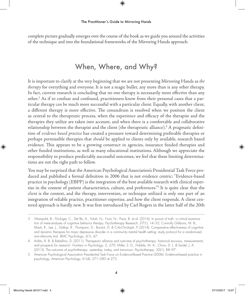complete picture gradually emerges over the course of the book as we guide you around the activities of the technique and into the foundational frameworks of the Mirroring Hands approach.

#### When, Where, and Why?

It is important to clarify at the very beginning that we are not presenting Mirroring Hands as *the therapy* for everything and everyone. It is not a magic bullet, any more than is any other therapy. In fact, current research is concluding that no one therapy is necessarily more effective than any other.3 As if to confuse and confound, practitioners know from their personal cases that a particular therapy *can* be much more successful with a particular client. Equally, with another client, a different therapy is more effective. The conundrum is resolved when we position the client as central to the therapeutic process, when the experience and efficacy of the therapist and the therapies they utilize are taken into account, and when there is a comfortable and collaborative relationship between the therapist and the client (the therapeutic alliance).4 A pragmatic definition of *evidence based practice* has created a pressure toward determining preferable therapies or perhaps permissible therapies that *should* be applied to clients only by available, research based evidence. This appears to be a growing construct in agencies, insurance funded therapies and other funded institutions, as well as many educational institutions. Although we appreciate the responsibility to produce predictably successful outcomes, we feel that these limiting determinations are not the right path to follow.

You may be surprised that the American Psychological Association's Presidential Task Force produced and published a formal definition in 2006 that is not evidence centric: "Evidence-based practice in psychology (EBPP) is the integration of the best available research with clinical expertise in the context of patient characteristics, culture, and preferences."5 It is quite clear that the *client* is the context, and the therapy, intervention, or technique utilized is only one part of an integration of reliable practice, practitioner expertise, and how the client responds. A client centered approach is hardly new. It was first introduced by Carl Rogers in the latter half of the 20th

<sup>3</sup> Wampold, B., Flückiger, C., Del Re, A., Yulish, N., Frost, N., Pace, B. et al. (2016). In pursuit of truth: a critical examination of meta-analyses of cognitive behavior therapy. *Psychotherapy Research*, 27(1), 14–32; Connolly Gibbons, M. B., Mack, R., Lee, J., Gallop, R., Thompson, D., Burock, D. & Crits-Christoph, P. (2014). Comparative effectiveness of cognitive and dynamic therapies for major depressive disorder in a community mental health setting: study protocol for a randomized non-inferiority trial. *BMC Psychology*, 2(1), 47.

<sup>4</sup> Ardito, R. B. & Rabellino, D. (2011). Therapeutic alliance and outcome of psychotherapy: historical excursus, measurements, and prospects for research. *Frontiers in Psychology*, 2, 270; Miller, S. D., Hubble, M. A., Chow, D. L. & Seidel, J. A. (2013). The outcome of psychotherapy: yesterday, today, and tomorrow. *Psychotherapy*, 50(1), 88–97.

<sup>5</sup> American Psychological Association Presidential Task Force on Evidence-Based Practice (2006). Evidence-based practice in psychology. *American Psychology*, 61(4), 271–285 at 273.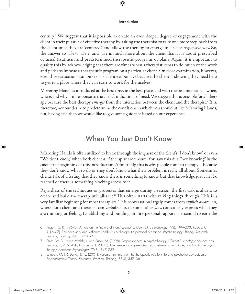century.6 We suggest that it is possible to create an even deeper degree of engagement with the client in their pursuit of effective therapy by asking the therapist to take one more step back from the client once they are "centered," and allow the therapy to emerge in a *client-responsive* way. So, the answer to *when, where*, and *why* is much more about the client than it is about prescribed or usual treatment and predetermined therapeutic programs or plans. Again, it is important to qualify this by acknowledging that there are times when a therapist *needs* to do much of the work and perhaps impose a therapeutic program on a particular client. On close examination, however, even those situations can be seen as client-responsive because the client is showing they need help to get to a place where they can start to work for themselves.

Mirroring Hands is introduced at the best time, in the best place, and with the best intention – when, where, and why – in response to the client's indications of need. We suggest this is possible for all therapy because the best therapy *emerges* from the interaction between the client and the therapist.<sup>7</sup> It is, therefore, not our desire to predetermine the conditions in which you should utilize Mirroring Hands, but, having said that, we would like to give some guidance based on our experience.

#### When You Just Don't Know

Mirroring Hands is often utilized to break through the impasse of the client's "I don't know" or even "We don't know," when both client *and* therapist are unsure. You saw this dual "not knowing" in the case at the beginning of this introduction. Admittedly, this is why people come to therapy – because they don't know what to do or they don't know what their problem is really all about. Sometimes clients talk of a feeling that they know there is something to know, but that knowledge just can't be reached or there is something blocking access to it.

Regardless of the techniques or processes that emerge during a session, the first task is always to create and build the therapeutic alliance.<sup>8</sup> This often starts with talking things through. This is a very familiar beginning for most therapists. This conversation largely comes from *explicit awareness*, where both client and therapist can verbalize or, in some other way, consciously express what they are thinking or feeling. Establishing and building an interpersonal rapport is essential to earn the

<sup>6</sup> Rogers, C. R. (1957a). A note on the "nature of man." *Journal of Counseling Psychology*, 4(3), 199–203; Rogers, C. R. (2007). The necessary and sufficient conditions of therapeutic personality change. *Psychotherapy: Theory, Research, Practice, Training,* 44(3), 240–248.

<sup>7</sup> Stiles, W. B., Honos-Webb, L. and Surko, M. (1998). Responsiveness in psychotherapy. *Clinical Psychology: Science and Practice*, 5, 439–458; Hatcher, R. L. (2015). Interpersonal competencies: responsiveness, technique, and training in psychotherapy. *American Psychologist,* 70(8), 747–757.

<sup>8</sup> Lambert, M. J. & Barley, D. E. (2001). Research summary on the therapeutic relationship and psychotherapy outcome. *Psychotherapy: Theory, Research, Practice, Training,* 38(4), 357–361.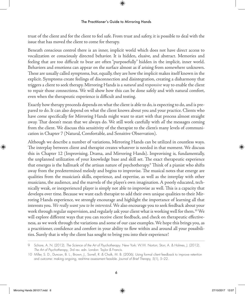trust of the client and for the client to feel safe. From trust and safety, it is possible to deal with the issue that has moved the client to come for therapy.

Beneath conscious control there is an inner, implicit world which does not have direct access to vocalization or consciously directed behavior. It is hidden, elusive, and abstract. Memories and feeling that are too difficult to bear are often "purposefully" hidden in the implicit, inner world. Behaviors and emotions can appear on the surface almost as if arising from somewhere unknown. These are usually called symptoms, but, equally, they are how the implicit makes itself known in the explicit. Symptoms create feelings of disconnection and disintegration, creating a disharmony that triggers a client to seek therapy. Mirroring Hands is a *natural* and *responsive* way to enable the client to repair those connections. We will show how this can be done safely and with natural comfort, even when the therapeutic experience is difficult and testing.

Exactly how therapy proceeds depends on what the client is able to do, is expecting to do, and is pre pared to do. It can also depend on what the client knows about you and your practice. Clients who have come specifically for Mirroring Hands might want to start with that process almost straight away. That doesn't mean that we always do. We still work carefully with *all* the messages coming from the client. We discuss this sensitivity of the therapist to the client's many levels of communi cation in Chapter 7 (Natural, Comfortable, and Sensitive Observation).

Although we describe a number of variations, Mirroring Hands can be utilized in countless ways. The interplay between client and therapist creates whatever is needed in that moment. We discuss this in Chapter 12 (Improvising, Drama, and Mirroring Hands). Improvising is, fundamentally, the unplanned utilization of your knowledge base and skill set. The exact therapeutic experience that emerges is the hallmark of the artisan nature of psychotherapy. 9 Think of a pianist who shifts away from the predetermined melody and begins to improvise. The musical notes that emerge are qualities from the musician's skills, experience, and expertise, as well as the interplay with other musicians, the audience, and the marvels of the player's own imagination. A poorly educated, tech nically weak, or inexperienced player is simply not able to improvise as well. This is a capacity that develops over time. Because we want each therapist to add their own unique qualities to their Mir roring Hands experience, we strongly encourage and highlight the importance of learning all that interests you. *We really want you to be interested.* We also encourage you to seek feedback about your work through regular supervision, and regularly ask your client what is working well for them.<sup>10</sup> We will explore different ways that you can receive client feedback, and check on therapeutic effective ness, as we work through the variations and some of our case examples. We hope this brings you, as a practitioner, confidence and comfort in your ability to flow within and around all your possibili ties. Surely that is why the client has sought to bring you into their experience!

<sup>9</sup> Schore, A. N. (2012). *The Science of the Art of Psychotherapy*. New York: W.W. Norton; Storr, A. & Holmes, J. (2012). *The Art of Psychotherapy*, 3rd rev. edn. London: Taylor & Francis.

<sup>10</sup> Miller, S. D., Duncan, B. L., Brown, J., Sorrell, R. & Chalk, M. B. (2006). Using formal client feedback to improve retention and outcome: making ongoing, real-time assessment feasible. *Journal of Brief Therapy,* 5(1), 5–22.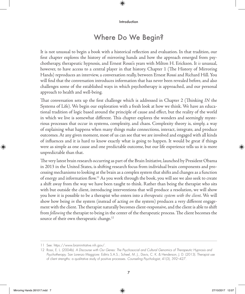#### Where Do We Begin?

It is not unusual to begin a book with a historical reflection and evaluation. In that tradition, our first chapter explores the history of mirroring hands and how the approach emerged from psychotherapy, therapeutic hypnosis, and Ernest Rossi's years with Milton H. Erickson. It *is* unusual, however, to have access to a central player in that history. Chapter 1 (The History of Mirroring Hands) reproduces an interview, a conversation really, between Ernest Rossi and Richard Hill. You will find that the conversation introduces information that has never been revealed before, and also challenges some of the established ways in which psychotherapy is approached, and our personal approach to health and well-being.

That conversation sets up the first challenge which is addressed in Chapter 2 (Thinking *IN* the Systems of Life). We begin our exploration with a fresh look at how we think. We have an educational tradition of logic based around the principle of cause and effect, but the reality of the world in which we live is somewhat different. This chapter explores the wonders and seemingly mysterious processes that occur in systems, complexity, and chaos. Complexity theory is, simply, a way of explaining what happens when many things make connections, interact, integrate, and produce outcomes. At any given moment, most of us can see that we are involved and engaged with all kinds of influences and it is hard to know exactly what is going to happen. It would be great if things were as simple as one cause and one predictable outcome, but our life experience tells us it is more unpredictable than that.

The very latest brain research occurring as part of the Brain Initiative, launched by President Obama in 2013 in the United States, is shifting research focus from individual brain components and processing mechanisms to looking at the brain as a complex system that shifts and changes as a function of energy and information flow.11 As you work through the book, you will see we also seek to create a shift away from the way we have been taught to think. Rather than being the therapist who sits with but outside the client, introducing interventions that will produce a resolution, we will show you how it is possible to be a therapist who enters into a *therapeutic system with the client*. We will show how being *in* the system (instead of acting *on* the system) produces a very different engagement with the client. The therapist naturally becomes client-responsive, and the client is able to shift from *following* the therapist to being in the center of the therapeutic process. The client becomes the source of their own therapeutic change.<sup>12</sup>

<sup>11</sup> See: https://www.braininitiative.nih.gov/.

<sup>12</sup> Rossi, E. L. (2004b). *A Discourse with Our Genes: The Psychosocial and Cultural Genomics of Therapeutic Hypnosis and Psychotherapy.* San Lorenzo Maggiore: Editris S.A.S.; Scheel, M. J., Davis, C. K. & Henderson, J. D. (2013). Therapist use of client strengths: a qualitative study of positive processes. *Counseling Psychologist,* 41(3), 392–427.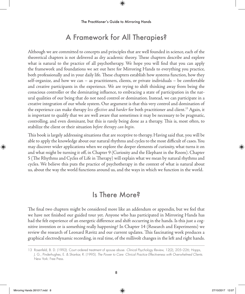### A Framework for All Therapies?

Although we are committed to concepts and principles that are well founded in science, each of the theoretical chapters is not delivered as dry academic theory. These chapters describe and explore what is natural to the practice of all psychotherapy. We hope you will find that you can apply the framework and foundations we set out here for Mirroring Hands to everything you practice, both professionally and in your daily life. These chapters establish how systems function, how they self-organize, and how we can – as practitioners, clients, or private individuals – be comfortable and creative participants in the experience. We are trying to shift thinking away from being the conscious controller or the dominating influence, to embracing a state of participation in the nat ural qualities of our being that do not need control or domination. Instead, we can participate in a creative integration of our whole system. Our argument is that this very control and domination of the experience can make therapy *less effective* and *harder* for both practitioner and client.13 Again, it is important to qualify that we are well aware that sometimes it may be necessary to be pragmatic, controlling, and even dominant, but this is rarely being done as a therapy. This is, most often, to stabilize the client or their situation *before therapy can begin*.

This book is largely addressing situations that are receptive to therapy. Having said that, you will be able to apply the knowledge about our natural rhythms and cycles to the most difficult of cases. You may discover wider applications when we explore the deeper elements of curiosity, what turns it on and what might be turning it off, in Chapter 9 (Curiosity and the Elephant in the Room). Chapter 5 (The Rhythms and Cycles of Life in Therapy) will explain what we mean by natural rhythms and cycles. We believe this puts the practice of psychotherapy in the context of what is natural about us, about the way the world functions around us, and the ways in which we function in the world.

#### Is There More?

The final two chapters might be considered more like an addendum or appendix, but we feel that we have not finished our guided tour yet. Anyone who has participated in Mirroring Hands has had the felt experience of an energetic difference and shift occurring in the hands. Is this just a cog nitive invention or is something really happening? In Chapter 14 (Research and Experiments) we review the research of Leonard Ravitz and our current updates. This fascinating work produces a graphical electrodynamic recording, in real time, of the millivolt changes in the left and right hands.

<sup>13</sup> Rosenfeld, B. D. (1992). Court ordered treatment of spouse abuse. *Clinical Psychology Review,* 12(2), 205–226; Hopps, J. G., Pinderhughes, E. & Shankar, R. (1995). *The Power to Care: Clinical Practice Effectiveness with Overwhelmed Clients.* New York: Free Press.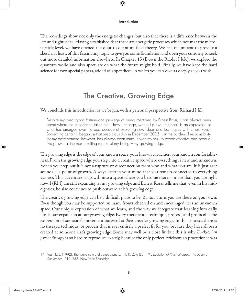The recordings show not only the energetic changes, but also that there is a difference between the left and right sides. Having established that these are energetic processes which occur at the microparticle level, we have opened the door to quantum field theory. We feel incumbent to provide a sketch, at least, of this fascinating topic to give you some foundation and open your curiosity to seek out more detailed information elsewhere. In Chapter 15 (Down the Rabbit Hole), we explore the quantum world and also speculate on what the future might hold. Finally, we have kept the hard science for two special papers, added as appendices, in which you can dive as deeply as you wish.

#### The Creative, Growing Edge

#### We conclude this introduction as we began, with a personal perspective from Richard Hill:

Despite my great good fortune and privilege of being mentored by Ernest Rossi, it has always been about where the experience takes me – how I change, where I grow. This book is an expression of what has emerged over the past decade of exploring new ideas and techniques with Ernest Rossi. Something certainly began on that auspicious day in December 2005, but the burden of responsibility for my development, however, has always been mine. It was my task to create effective and productive growth at the most exciting region of my being – my growing edge.<sup>14</sup>

The growing edge is the edge of your known space, your known capacities, your known comfortableness. From the growing edge you step into a creative space where everything is new and unknown. When you step out it is not a rupture or disconnection from who and what you are. It is just as it sounds – a point of growth. Always keep in your mind that you remain connected to everything *you are*. This adventure is growth into a space where you become more – more than you are right now. I (RH) am still expanding at my growing edge and Ernest Rossi tells me that, even in his mideighties, he also continues to push outward at his growing edge.

The creative, growing edge can be a difficult place to be. By its nature, you are there on your own. Even though you may be supported on many fronts, cheered on and encouraged, it is an unknown space. Our unique expression of what we learn, and the way we integrate that learning into daily life, is our expansion at our growing edge. Every therapeutic technique, process, and protocol is the expression of someone's movement outward at *their* creative growing edge. In this context, there is no therapy, technique, or process that is ever entirely a perfect fit for you, because they have all been created at someone else's growing edge. Some may well be a close fit, but this is why *Ericksonian psychotherapy* is so hard to reproduce exactly, because the only perfect Ericksonian practitioner was

<sup>14</sup> Rossi, E. L. (1992). The wave nature of consciousness. In J. K. Zeig (Ed.), *The Evolution of Psychotherapy: The Second Conference*, 216–238. New York: Routledge.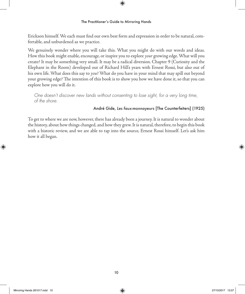Erickson himself. We each must find our own best form and expression in order to be natural, com fortable, and unburdened as we practice.

We genuinely wonder where you will take this. What you might do with our words and ideas. How this book might enable, encourage, or inspire you to explore *your* growing edge. What will you create? It may be something very small. It may be a radical diversion. Chapter 9 (Curiosity and the Elephant in the Room) developed out of Richard Hill's years with Ernest Rossi, but also out of his own life. What does this say to *you*? What do you have in your mind that may spill out beyond your growing edge? The intention of this book is to show you how we have done it, so that you can explore how you will do it.

*One doesn't discover new lands without consenting to lose sight, for a very long time, of the shore.*

#### André Gide, *Les faux-monnayeurs* [The Counterfeiters] (1925)

To get to where we are now, however, there has already been a journey. It is natural to wonder about the history, about how things changed, and how they grew. It is natural, therefore, to begin this book with a historic review, and we are able to tap into the source, Ernest Rossi himself. Let's ask him how it all began.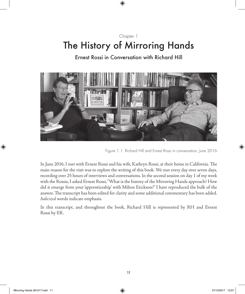## Chapter 1 The History of Mirroring Hands

#### Ernest Rossi in Conversation with Richard Hill



Figure 1.1. Richard Hill and Ernest Rossi in conversation, June 2016

In June 2016, I met with Ernest Rossi and his wife, Kathryn Rossi, at their home in California. The main reason for the visit was to explore the writing of this book. We met every day over seven days, recording over 25 hours of interviews and conversations. In the second session on day 1 of my week with the Rossis, I asked Ernest Rossi, "What is the history of the Mirroring Hands approach? How did it emerge from your 'apprenticeship' with Milton Erickson?" I have reproduced the bulk of the answer. The transcript has been edited for clarity and some additional commentary has been added. *Italicized* words indicate emphasis.

In this transcript, and throughout the book, Richard Hill is represented by RH and Ernest Rossi by ER.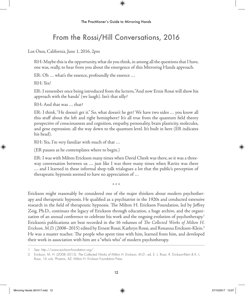### From the Rossi/Hill Conversations, 2016

Los Osos, California, June 1, 2016, 2pm

RH: Maybe this is the opportunity, what do you think, in among all the questions that I have, one was, really, to hear from you about the emergence of this Mirroring Hands approach.

ER: Oh … what's the essence, profoundly the essence …

RH: Yes!

ER: I remember once being introduced from the lectern, "And now Ernie Rossi will show his approach with the hands" (we laugh). Isn't that silly?

RH: And that was … that?

ER: I think, "He doesn't get it." So, what doesn't he get? We have two sides … you know all this stuff about the left and right hemisphere? It's all true from the quantum field theory perspective of consciousness and cognition, empathy, personality, brain plasticity, molecules, and gene expression. all the way down to the quantum level. It's built in here (ER indicates his head).

RH: Yes, I'm very familiar with much of that …

(ER pauses as he contemplates where to begin.)

ER: I was with Milton Erickson many times when David Cheek was there, so it was a threeway conversation between us … just like I was there many times when Ravitz was there … and I learned in these informal shop-talk trialogues a lot that the public's perception of therapeutic hypnosis seemed to have no appreciation of …

\*\*\*

Erickson might reasonably be considered one of the major thinkers about modern psychotherapy and therapeutic hypnosis. He qualified as a psychiatrist in the 1920s and conducted extensive research in the field of therapeutic hypnosis. The Milton H. Erickson Foundation, led by Jeffrey Zeig, Ph.D., continues the legacy of Erickson through education, a huge archive, and the organization of an annual conference to celebrate his work and the ongoing evolution of psychotherapy.<sup>1</sup> Erickson's publications are best recorded in the 16 volumes of *The Collected Works of Milton H. Erickson, M.D.* (2008–2015) edited by Ernest Rossi, Kathryn Rossi, and Roxanna Erickson-Klein.2 He was a master teacher. The people who spent time with him, learned from him, and developed their work in association with him are a "who's who" of modern psychotherapy.

<sup>1</sup> See: http://www.erickson-foundation.org/.

<sup>2</sup> Erickson, M. H. (2008–2015). *The Collected Works of Milton H. Erickson, M.D.*, ed. E. L. Rossi, R. Erickson-Klein & K. L. Rossi, 16 vols. Phoenix, AZ: Milton H. Erickson Foundation Press.